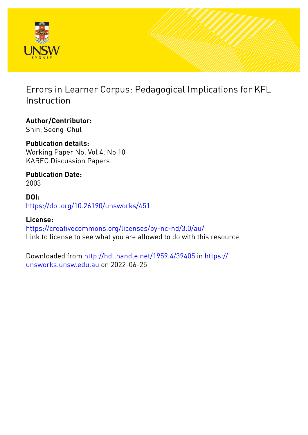

Errors in Learner Corpus: Pedagogical Implications for KFL Instruction

**Author/Contributor:** Shin, Seong-Chul

**Publication details:** Working Paper No. Vol 4, No 10 KAREC Discussion Papers

**Publication Date:** 2003

**DOI:** [https://doi.org/10.26190/unsworks/451](http://dx.doi.org/https://doi.org/10.26190/unsworks/451)

**License:** <https://creativecommons.org/licenses/by-nc-nd/3.0/au/> Link to license to see what you are allowed to do with this resource.

Downloaded from <http://hdl.handle.net/1959.4/39405> in [https://](https://unsworks.unsw.edu.au) [unsworks.unsw.edu.au](https://unsworks.unsw.edu.au) on 2022-06-25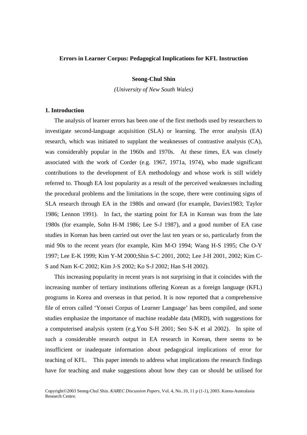# **Errors in Learner Corpus: Pedagogical Implications for KFL Instruction**

# **Seong-Chul Shin**

*(University of New South Wales)* 

# **1. Introduction**

 The analysis of learner errors has been one of the first methods used by researchers to investigate second-language acquisition (SLA) or learning. The error analysis (EA) research, which was initiated to supplant the weaknesses of contrastive analysis (CA), was considerably popular in the 1960s and 1970s. At these times, EA was closely associated with the work of Corder (e.g. 1967, 1971a, 1974), who made significant contributions to the development of EA methodology and whose work is still widely referred to. Though EA lost popularity as a result of the perceived weaknesses including the procedural problems and the limitations in the scope, there were continuing signs of SLA research through EA in the 1980s and onward (for example, Davies1983; Taylor 1986; Lennon 1991). In fact, the starting point for EA in Korean was from the late 1980s (for example, Sohn H-M 1986; Lee S-J 1987), and a good number of EA case studies in Korean has been carried out over the last ten years or so, particularly from the mid 90s to the recent years (for example, Kim M-O 1994; Wang H-S 1995; Che O-Y 1997; Lee E-K 1999; Kim Y-M 2000;Shin S-C 2001, 2002; Lee J-H 2001, 2002; Kim C-S and Nam K-C 2002; Kim J-S 2002; Ko S-J 2002; Han S-H 2002).

 This increasing popularity in recent years is not surprising in that it coincides with the increasing number of tertiary institutions offering Korean as a foreign language (KFL) programs in Korea and overseas in that period. It is now reported that a comprehensive file of errors called 'Yonsei Corpus of Learner Language' has been compiled, and some studies emphasize the importance of machine readable data (MRD), with suggestions for a computerised analysis system (e.g.You S-H 2001; Seo S-K et al 2002). In spite of such a considerable research output in EA research in Korean, there seems to be insufficient or inadequate information about pedagogical implications of error for teaching of KFL. This paper intends to address what implications the research findings have for teaching and make suggestions about how they can or should be utilised for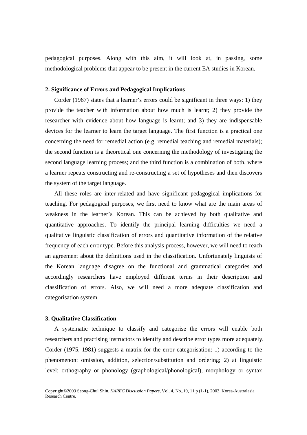pedagogical purposes. Along with this aim, it will look at, in passing, some methodological problems that appear to be present in the current EA studies in Korean.

# **2. Significance of Errors and Pedagogical Implications**

 Corder (1967) states that a learner's errors could be significant in three ways: 1) they provide the teacher with information about how much is learnt; 2) they provide the researcher with evidence about how language is learnt; and 3) they are indispensable devices for the learner to learn the target language. The first function is a practical one concerning the need for remedial action (e.g. remedial teaching and remedial materials); the second function is a theoretical one concerning the methodology of investigating the second language learning process; and the third function is a combination of both, where a learner repeats constructing and re-constructing a set of hypotheses and then discovers the system of the target language.

 All these roles are inter-related and have significant pedagogical implications for teaching. For pedagogical purposes, we first need to know what are the main areas of weakness in the learner's Korean. This can be achieved by both qualitative and quantitative approaches. To identify the principal learning difficulties we need a qualitative linguistic classification of errors and quantitative information of the relative frequency of each error type. Before this analysis process, however, we will need to reach an agreement about the definitions used in the classification. Unfortunately linguists of the Korean language disagree on the functional and grammatical categories and accordingly researchers have employed different terms in their description and classification of errors. Also, we will need a more adequate classification and categorisation system.

## **3. Qualitative Classification**

 A systematic technique to classify and categorise the errors will enable both researchers and practising instructors to identify and describe error types more adequately. Corder (1975, 1981) suggests a matrix for the error categorisation: 1) according to the phenomenon: omission, addition, selection/substitution and ordering; 2) at linguistic level: orthography or phonology (graphological/phonological), morphology or syntax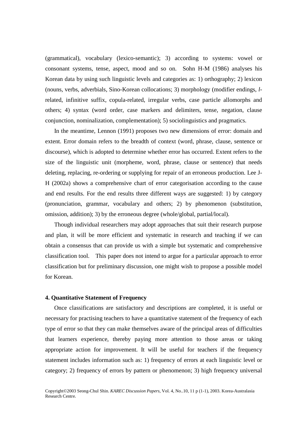(grammatical), vocabulary (lexico-semantic); 3) according to systems: vowel or consonant systems, tense, aspect, mood and so on. Sohn H-M (1986) analyses his Korean data by using such linguistic levels and categories as: 1) orthography; 2) lexicon (nouns, verbs, adverbials, Sino-Korean collocations; 3) morphology (modifier endings, *l*related, infinitive suffix, copula-related, irregular verbs, case particle allomorphs and others; 4) syntax (word order, case markers and delimiters, tense, negation, clause conjunction, nominalization, complementation); 5) sociolinguistics and pragmatics.

 In the meantime, Lennon (1991) proposes two new dimensions of error: domain and extent. Error domain refers to the breadth of context (word, phrase, clause, sentence or discourse), which is adopted to determine whether error has occurred. Extent refers to the size of the linguistic unit (morpheme, word, phrase, clause or sentence) that needs deleting, replacing, re-ordering or supplying for repair of an erroneous production. Lee J-H (2002a) shows a comprehensive chart of error categorisation according to the cause and end results. For the end results three different ways are suggested: 1) by category (pronunciation, grammar, vocabulary and others; 2) by phenomenon (substitution, omission, addition); 3) by the erroneous degree (whole/global, partial/local).

 Though individual researchers may adopt approaches that suit their research purpose and plan, it will be more efficient and systematic in research and teaching if we can obtain a consensus that can provide us with a simple but systematic and comprehensive classification tool. This paper does not intend to argue for a particular approach to error classification but for preliminary discussion, one might wish to propose a possible model for Korean.

## **4. Quantitative Statement of Frequency**

 Once classifications are satisfactory and descriptions are completed, it is useful or necessary for practising teachers to have a quantitative statement of the frequency of each type of error so that they can make themselves aware of the principal areas of difficulties that learners experience, thereby paying more attention to those areas or taking appropriate action for improvement. It will be useful for teachers if the frequency statement includes information such as: 1) frequency of errors at each linguistic level or category; 2) frequency of errors by pattern or phenomenon; 3) high frequency universal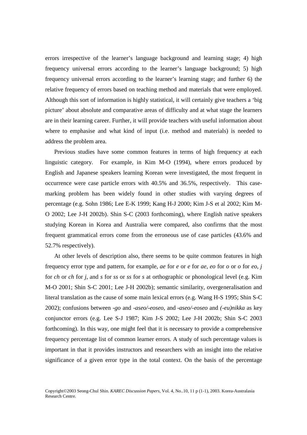errors irrespective of the learner's language background and learning stage; 4) high frequency universal errors according to the learner's language background; 5) high frequency universal errors according to the learner's learning stage; and further 6) the relative frequency of errors based on teaching method and materials that were employed. Although this sort of information is highly statistical, it will certainly give teachers a 'big picture' about absolute and comparative areas of difficulty and at what stage the learners are in their learning career. Further, it will provide teachers with useful information about where to emphasise and what kind of input (i.e. method and materials) is needed to address the problem area.

 Previous studies have some common features in terms of high frequency at each linguistic category. For example, in Kim M-O (1994), where errors produced by English and Japanese speakers learning Korean were investigated, the most frequent in occurrence were case particle errors with 40.5% and 36.5%, respectively. This casemarking problem has been widely found in other studies with varying degrees of percentage (e.g. Sohn 1986; Lee E-K 1999; Kang H-J 2000; Kim J-S et al 2002; Kim M-O 2002; Lee J-H 2002b). Shin S-C (2003 forthcoming), where English native speakers studying Korean in Korea and Australia were compared, also confirms that the most frequent grammatical errors come from the erroneous use of case particles (43.6% and 52.7% respectively).

 At other levels of description also, there seems to be quite common features in high frequency error type and pattern, for example, *ae* for *e* or *e* for *ae*, *eo* for *o* or *o* for *eo*, *j* for *ch* or *ch* for *j*, and *s* for *ss* or *ss* for *s* at orthographic or phonological level (e.g. Kim M-O 2001; Shin S-C 2001; Lee J-H 2002b); semantic similarity, overgeneralisation and literal translation as the cause of some main lexical errors (e.g. Wang H-S 1995; Shin S-C 2002); confusions between *-go* and *-aseo/-eoseo,* and *-aseo/-eoseo* and *(-eu)nikka* as key conjunctor errors (e.g. Lee S-J 1987; Kim J-S 2002; Lee J-H 2002b; Shin S-C 2003 forthcoming). In this way, one might feel that it is necessary to provide a comprehensive frequency percentage list of common learner errors. A study of such percentage values is important in that it provides instructors and researchers with an insight into the relative significance of a given error type in the total context. On the basis of the percentage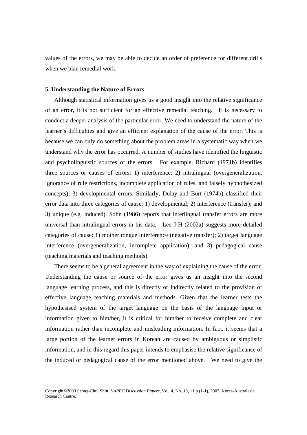values of the errors, we may be able to decide an order of preference for different drills when we plan remedial work.

#### **5. Understanding the Nature of Errors**

 Although statistical information gives us a good insight into the relative significance of an error, it is not sufficient for an effective remedial teaching. It is necessary to conduct a deeper analysis of the particular error. We need to understand the nature of the learner's difficulties and give an efficient explanation of the cause of the error. This is because we can only do something about the problem areas in a systematic way when we understand why the error has occurred. A number of studies have identified the linguistic and psycholinguistic sources of the errors. For example, Richard (1971b) identifies three sources or causes of errors: 1) interference; 2) intralingual (overgeneralization, ignorance of rule restrictions, incomplete application of rules, and falsely hyphothesized concepts); 3) developmental errors. Similarly, Dulay and Burt (1974b) classified their error data into three categories of cause: 1) developmental; 2) interference (transfer); and 3) unique (e.g. induced). Sohn (1986) reports that interlingual transfer errors are more universal than intralingual errors in his data. Lee J-H (2002a) suggests more detailed categories of cause: 1) mother tongue interference (negative transfer); 2) target language interference (overgeneralization, incomplete application); and 3) pedagogical cause (teaching materials and teaching methods).

 There seems to be a general agreement in the way of explaining the cause of the error. Understanding the cause or source of the error gives us an insight into the second language learning process, and this is directly or indirectly related to the provision of effective language teaching materials and methods. Given that the learner tests the hypothesised system of the target language on the basis of the language input or information given to him/her, it is critical for him/her to receive complete and clear information rather than incomplete and misleading information. In fact, it seems that a large portion of the learner errors in Korean are caused by ambiguous or simplistic information, and in this regard this paper intends to emphasise the relative significance of the induced or pedagogical cause of the error mentioned above. We need to give the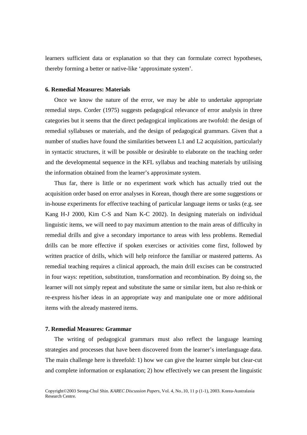learners sufficient data or explanation so that they can formulate correct hypotheses, thereby forming a better or native-like 'approximate system'.

## **6. Remedial Measures: Materials**

 Once we know the nature of the error, we may be able to undertake appropriate remedial steps. Corder (1975) suggests pedagogical relevance of error analysis in three categories but it seems that the direct pedagogical implications are twofold: the design of remedial syllabuses or materials, and the design of pedagogical grammars. Given that a number of studies have found the similarities between L1 and L2 acquisition, particularly in syntactic structures, it will be possible or desirable to elaborate on the teaching order and the developmental sequence in the KFL syllabus and teaching materials by utilising the information obtained from the learner's approximate system.

 Thus far, there is little or no experiment work which has actually tried out the acquisition order based on error analyses in Korean, though there are some suggestions or in-house experiments for effective teaching of particular language items or tasks (e.g. see Kang H-J 2000, Kim C-S and Nam K-C 2002). In designing materials on individual linguistic items, we will need to pay maximum attention to the main areas of difficulty in remedial drills and give a secondary importance to areas with less problems. Remedial drills can be more effective if spoken exercises or activities come first, followed by written practice of drills, which will help reinforce the familiar or mastered patterns. As remedial teaching requires a clinical approach, the main drill excises can be constructed in four ways: repetition, substitution, transformation and recombination. By doing so, the learner will not simply repeat and substitute the same or similar item, but also re-think or re-express his/her ideas in an appropriate way and manipulate one or more additional items with the already mastered items.

### **7. Remedial Measures: Grammar**

 The writing of pedagogical grammars must also reflect the language learning strategies and processes that have been discovered from the learner's interlanguage data. The main challenge here is threefold: 1) how we can give the learner simple but clear-cut and complete information or explanation; 2) how effectively we can present the linguistic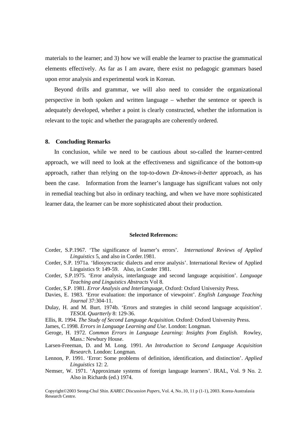materials to the learner; and 3) how we will enable the learner to practise the grammatical elements effectively. As far as I am aware, there exist no pedagogic grammars based upon error analysis and experimental work in Korean.

 Beyond drills and grammar, we will also need to consider the organizational perspective in both spoken and written language – whether the sentence or speech is adequately developed, whether a point is clearly constructed, whether the information is relevant to the topic and whether the paragraphs are coherently ordered.

## **8. Concluding Remarks**

 In conclusion, while we need to be cautious about so-called the learner-centred approach, we will need to look at the effectiveness and significance of the bottom-up approach, rather than relying on the top-to-down *Dr-knows-it-better* approach, as has been the case. Information from the learner's language has significant values not only in remedial teaching but also in ordinary teaching, and when we have more sophisticated learner data, the learner can be more sophisticated about their production.

#### **Selected References:**

- Corder, S.P.1967. 'The significance of learner's errors'. *International Reviews of Applied Linguistics* 5, and also in Corder.1981.
- Corder, S.P. 1971a. 'Idiosyncractic dialects and error analysis'. International Review of Applied Linguistics 9: 149-59. Also, in Corder 1981.
- Corder, S.P.1975. 'Error analysis, interlanguage and second language acquisition'. *Language Teaching and Linguistics Abstracts* Vol 8.
- Corder, S.P. 1981. *Error Analysis and Interlanguage*, Oxford: Oxford University Press.
- Davies, E. 1983. 'Error evaluation: the importance of viewpoint'. *English Language Teaching Journal* 37:304-11.
- Dulay, H. and M. Burt. 1974b. 'Errors and strategies in child second language acquisition'. *TESOL Quartterly* 8: 129-36.
- Ellis, R. 1994. *The Study of Second Language Acquisition*. Oxford: Oxford University Press.
- James, C.1998. *Errors in Language Learning and Use*. London: Longman.
- Geroge, H. 1972. *Common Errors in Language Learning: Insights from English.* Rowley, Mass.: Newbury House.
- Larsen-Freeman, D. and M. Long. 1991. *An Introduction to Second Language Acquisition Research*. London: Longman.
- Lennon, P. 1991. 'Error: Some problems of definition, identification, and distinction'. *Applied Linguistics* 12: 2.
- Nemser, W. 1971. 'Approximate systems of foreign language learners'. IRAL, Vol. 9 No. 2. Also in Richards (ed.) 1974.

Copyright©2003 Seong-Chul Shin. *KAREC Discussion Papers,* Vol. 4, No..10, 11 p (1-1), 2003. Korea-Australasia Research Centre.